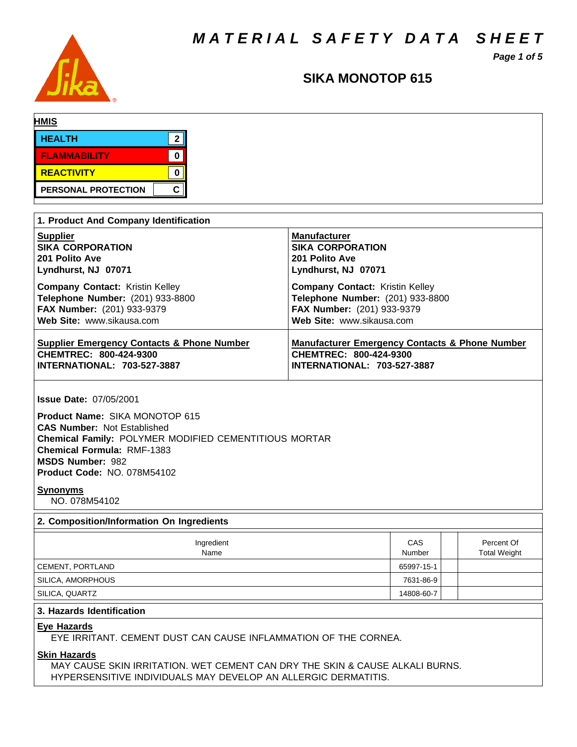*M A T E R I A L S A F E T Y D A T A S H E E T*



# *Page 1 of 5*

# **SIKA MONOTOP 615**

| <b>HMIS</b>                                                                                                                                                                                                                                                          |                                                           |                                   |  |
|----------------------------------------------------------------------------------------------------------------------------------------------------------------------------------------------------------------------------------------------------------------------|-----------------------------------------------------------|-----------------------------------|--|
| $\mathbf{2}$<br><b>HEALTH</b>                                                                                                                                                                                                                                        |                                                           |                                   |  |
| $\mathbf 0$<br><b>FLAMMABILITY</b>                                                                                                                                                                                                                                   |                                                           |                                   |  |
| <b>REACTIVITY</b><br>$\mathbf 0$                                                                                                                                                                                                                                     |                                                           |                                   |  |
| C.<br>PERSONAL PROTECTION                                                                                                                                                                                                                                            |                                                           |                                   |  |
|                                                                                                                                                                                                                                                                      |                                                           |                                   |  |
| 1. Product And Company Identification                                                                                                                                                                                                                                |                                                           |                                   |  |
| <b>Supplier</b>                                                                                                                                                                                                                                                      | <b>Manufacturer</b>                                       |                                   |  |
| <b>SIKA CORPORATION</b><br>201 Polito Ave                                                                                                                                                                                                                            | <b>SIKA CORPORATION</b><br>201 Polito Ave                 |                                   |  |
| Lyndhurst, NJ 07071                                                                                                                                                                                                                                                  | Lyndhurst, NJ 07071                                       |                                   |  |
| <b>Company Contact: Kristin Kelley</b>                                                                                                                                                                                                                               | <b>Company Contact: Kristin Kelley</b>                    |                                   |  |
| Telephone Number: (201) 933-8800                                                                                                                                                                                                                                     | Telephone Number: (201) 933-8800                          |                                   |  |
| FAX Number: (201) 933-9379                                                                                                                                                                                                                                           | FAX Number: (201) 933-9379                                |                                   |  |
| Web Site: www.sikausa.com                                                                                                                                                                                                                                            | Web Site: www.sikausa.com                                 |                                   |  |
| <b>Supplier Emergency Contacts &amp; Phone Number</b>                                                                                                                                                                                                                | <b>Manufacturer Emergency Contacts &amp; Phone Number</b> |                                   |  |
| CHEMTREC: 800-424-9300                                                                                                                                                                                                                                               | CHEMTREC: 800-424-9300                                    |                                   |  |
| INTERNATIONAL: 703-527-3887                                                                                                                                                                                                                                          | INTERNATIONAL: 703-527-3887                               |                                   |  |
| <b>Issue Date: 07/05/2001</b><br>Product Name: SIKA MONOTOP 615<br><b>CAS Number: Not Established</b><br>Chemical Family: POLYMER MODIFIED CEMENTITIOUS MORTAR<br><b>Chemical Formula: RMF-1383</b><br><b>MSDS Number: 982</b><br><b>Product Code: NO. 078M54102</b> |                                                           |                                   |  |
| <b>Synonyms</b><br>NO. 078M54102                                                                                                                                                                                                                                     |                                                           |                                   |  |
| 2. Composition/Information On Ingredients                                                                                                                                                                                                                            |                                                           |                                   |  |
| Ingredient<br>Name                                                                                                                                                                                                                                                   | CAS<br>Number                                             | Percent Of<br><b>Total Weight</b> |  |
| CEMENT, PORTLAND                                                                                                                                                                                                                                                     | 65997-15-1                                                |                                   |  |
| SILICA, AMORPHOUS                                                                                                                                                                                                                                                    | 7631-86-9                                                 |                                   |  |
| SILICA, QUARTZ                                                                                                                                                                                                                                                       | 14808-60-7                                                |                                   |  |
| 3. Hazards Identification                                                                                                                                                                                                                                            |                                                           |                                   |  |
| <b>Eye Hazards</b><br>EYE IRRITANT. CEMENT DUST CAN CAUSE INFLAMMATION OF THE CORNEA.                                                                                                                                                                                |                                                           |                                   |  |
| <b>Skin Hazards</b><br>MAY CAUSE SKIN IRRITATION. WET CEMENT CAN DRY THE SKIN & CAUSE ALKALI BURNS.<br>HYPERSENSITIVE INDIVIDUALS MAY DEVELOP AN ALLERGIC DERMATITIS.                                                                                                |                                                           |                                   |  |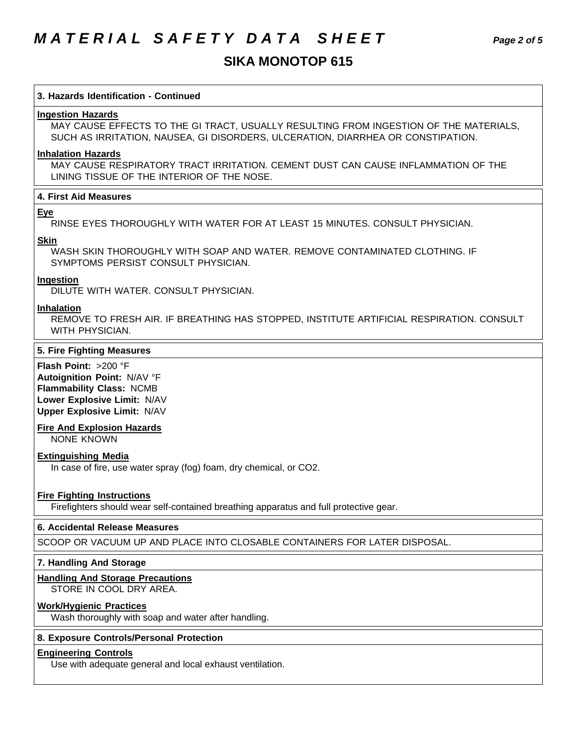# **SIKA MONOTOP 615**

## **3. Hazards Identification - Continued**

### **Ingestion Hazards**

MAY CAUSE EFFECTS TO THE GI TRACT, USUALLY RESULTING FROM INGESTION OF THE MATERIALS, SUCH AS IRRITATION, NAUSEA, GI DISORDERS, ULCERATION, DIARRHEA OR CONSTIPATION.

### **Inhalation Hazards**

MAY CAUSE RESPIRATORY TRACT IRRITATION. CEMENT DUST CAN CAUSE INFLAMMATION OF THE LINING TISSUE OF THE INTERIOR OF THE NOSE.

### **4. First Aid Measures**

### **Eye**

RINSE EYES THOROUGHLY WITH WATER FOR AT LEAST 15 MINUTES. CONSULT PHYSICIAN.

### **Skin**

WASH SKIN THOROUGHLY WITH SOAP AND WATER. REMOVE CONTAMINATED CLOTHING. IF SYMPTOMS PERSIST CONSULT PHYSICIAN.

### **Ingestion**

DILUTE WITH WATER. CONSULT PHYSICIAN.

### **Inhalation**

REMOVE TO FRESH AIR. IF BREATHING HAS STOPPED, INSTITUTE ARTIFICIAL RESPIRATION. CONSULT WITH PHYSICIAN.

### **5. Fire Fighting Measures**

**Flash Point:** >200 °F **Autoignition Point:** N/AV °F **Flammability Class:** NCMB **Lower Explosive Limit:** N/AV **Upper Explosive Limit:** N/AV

### **Fire And Explosion Hazards**

NONE KNOWN

### **Extinguishing Media**

In case of fire, use water spray (fog) foam, dry chemical, or CO2.

### **Fire Fighting Instructions**

Firefighters should wear self-contained breathing apparatus and full protective gear.

### **6. Accidental Release Measures**

SCOOP OR VACUUM UP AND PLACE INTO CLOSABLE CONTAINERS FOR LATER DISPOSAL.

### **7. Handling And Storage**

### **Handling And Storage Precautions**

STORE IN COOL DRY AREA.

## **Work/Hygienic Practices**

Wash thoroughly with soap and water after handling.

### **8. Exposure Controls/Personal Protection**

## **Engineering Controls**

Use with adequate general and local exhaust ventilation.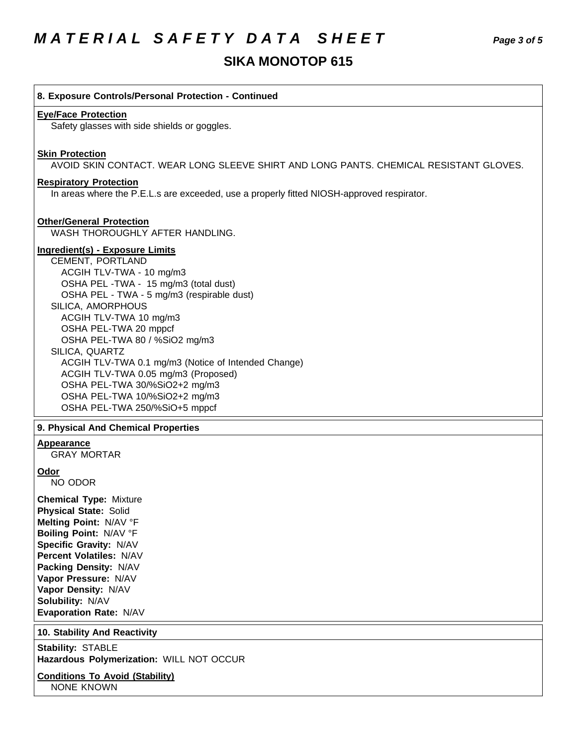# **SIKA MONOTOP 615**

| 8. Exposure Controls/Personal Protection - Continued                                                                       |
|----------------------------------------------------------------------------------------------------------------------------|
| <b>Eye/Face Protection</b><br>Safety glasses with side shields or goggles.                                                 |
|                                                                                                                            |
| <b>Skin Protection</b>                                                                                                     |
| AVOID SKIN CONTACT. WEAR LONG SLEEVE SHIRT AND LONG PANTS. CHEMICAL RESISTANT GLOVES.                                      |
| <b>Respiratory Protection</b><br>In areas where the P.E.L.s are exceeded, use a properly fitted NIOSH-approved respirator. |
|                                                                                                                            |
| <b>Other/General Protection</b><br>WASH THOROUGHLY AFTER HANDLING.                                                         |
| <b>Ingredient(s) - Exposure Limits</b>                                                                                     |
| CEMENT, PORTLAND                                                                                                           |
| ACGIH TLV-TWA - 10 mg/m3                                                                                                   |
| OSHA PEL - TWA - 15 mg/m3 (total dust)<br>OSHA PEL - TWA - 5 mg/m3 (respirable dust)                                       |
| SILICA, AMORPHOUS                                                                                                          |
| ACGIH TLV-TWA 10 mg/m3                                                                                                     |
| OSHA PEL-TWA 20 mppcf                                                                                                      |
| OSHA PEL-TWA 80 / %SiO2 mg/m3                                                                                              |
| SILICA, QUARTZ                                                                                                             |
| ACGIH TLV-TWA 0.1 mg/m3 (Notice of Intended Change)                                                                        |
| ACGIH TLV-TWA 0.05 mg/m3 (Proposed)                                                                                        |
| OSHA PEL-TWA 30/%SiO2+2 mg/m3                                                                                              |
| OSHA PEL-TWA 10/%SiO2+2 mg/m3                                                                                              |
| OSHA PEL-TWA 250/%SiO+5 mppcf                                                                                              |
| 9. Physical And Chemical Properties                                                                                        |
| Appearance<br><b>GRAY MORTAR</b>                                                                                           |
| Odor                                                                                                                       |
| NO ODOR                                                                                                                    |
| <b>Chemical Type: Mixture</b>                                                                                              |
| <b>Physical State: Solid</b>                                                                                               |
| Melting Point: N/AV °F                                                                                                     |
| Boiling Point: N/AV °F                                                                                                     |
| Specific Gravity: N/AV                                                                                                     |
| Percent Volatiles: N/AV                                                                                                    |

**Packing Density:** N/AV **Vapor Pressure:** N/AV **Vapor Density:** N/AV **Solubility:** N/AV

**Evaporation Rate:** N/AV

## **10. Stability And Reactivity**

**Stability:** STABLE **Hazardous Polymerization:** WILL NOT OCCUR

**Conditions To Avoid (Stability)** NONE KNOWN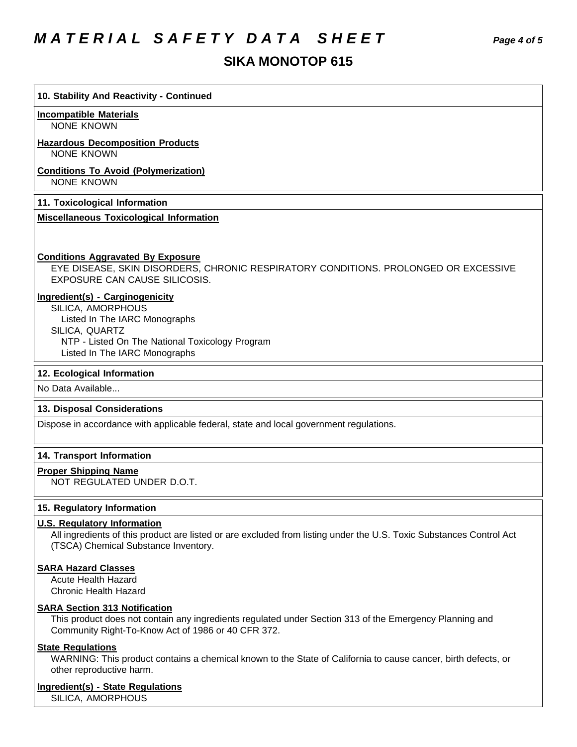# *M A T E R I A L S A F E T Y D A T A S H E E T Page 4 of 5*

# **SIKA MONOTOP 615**

### **10. Stability And Reactivity - Continued**

#### **Incompatible Materials**

NONE KNOWN

### **Hazardous Decomposition Products**

NONE KNOWN

# **Conditions To Avoid (Polymerization)**

NONE KNOWN

### **11. Toxicological Information**

## **Miscellaneous Toxicological Information**

### **Conditions Aggravated By Exposure**

EYE DISEASE, SKIN DISORDERS, CHRONIC RESPIRATORY CONDITIONS. PROLONGED OR EXCESSIVE EXPOSURE CAN CAUSE SILICOSIS.

### **Ingredient(s) - Carginogenicity**

SILICA, AMORPHOUS Listed In The IARC Monographs SILICA, QUARTZ NTP - Listed On The National Toxicology Program Listed In The IARC Monographs

### **12. Ecological Information**

No Data Available...

### **13. Disposal Considerations**

Dispose in accordance with applicable federal, state and local government regulations.

### **14. Transport Information**

### **Proper Shipping Name**

NOT REGULATED UNDER D.O.T.

## **15. Regulatory Information**

## **U.S. Regulatory Information**

All ingredients of this product are listed or are excluded from listing under the U.S. Toxic Substances Control Act (TSCA) Chemical Substance Inventory.

### **SARA Hazard Classes**

Acute Health Hazard Chronic Health Hazard

### **SARA Section 313 Notification**

This product does not contain any ingredients regulated under Section 313 of the Emergency Planning and Community Right-To-Know Act of 1986 or 40 CFR 372.

### **State Regulations**

WARNING: This product contains a chemical known to the State of California to cause cancer, birth defects, or other reproductive harm.

### **Ingredient(s) - State Regulations**

SILICA, AMORPHOUS